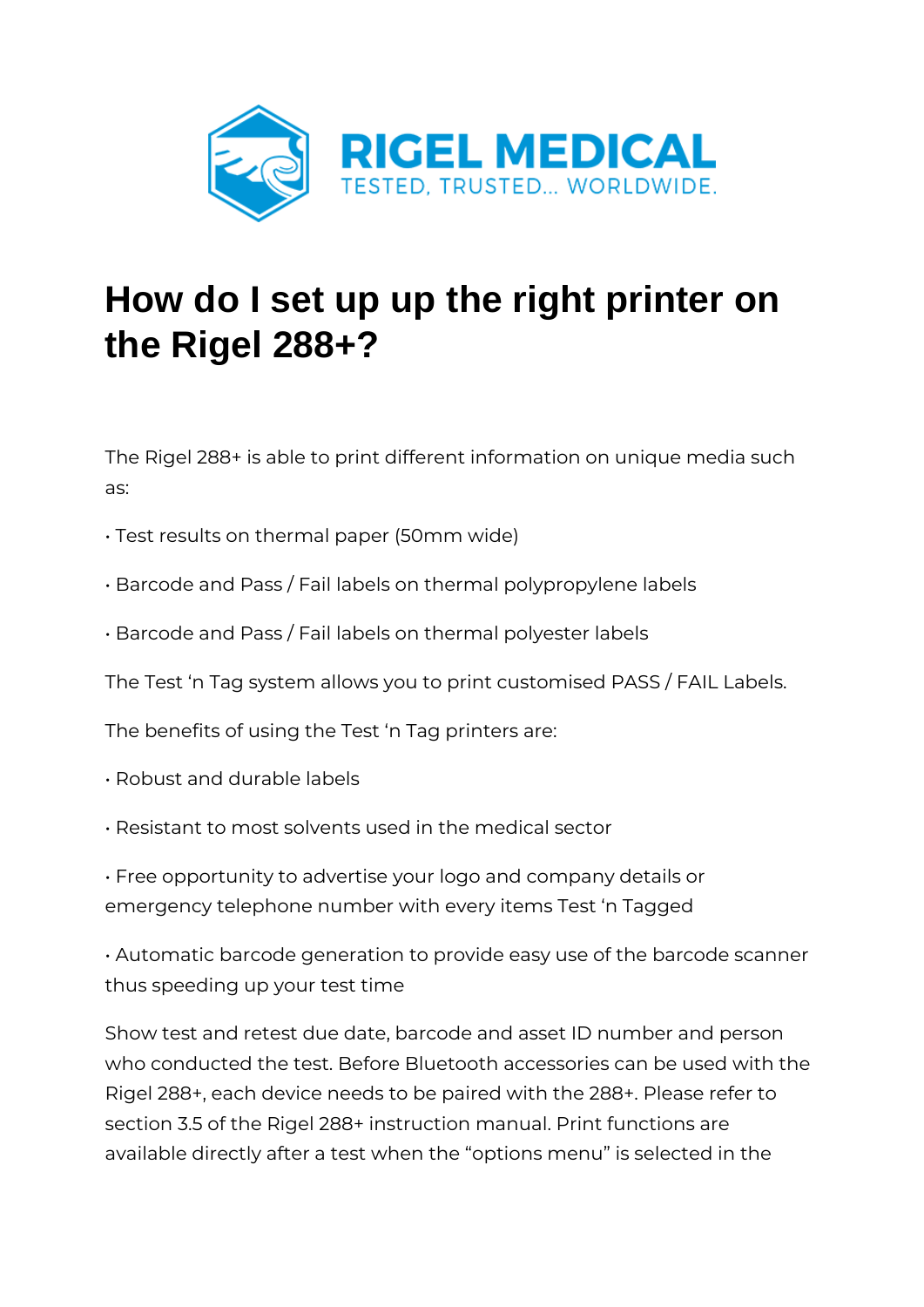

## **How do I set up up the right printer on the Rigel 288+?**

The Rigel 288+ is able to print different information on unique media such as:

- Test results on thermal paper (50mm wide)
- Barcode and Pass / Fail labels on thermal polypropylene labels
- Barcode and Pass / Fail labels on thermal polyester labels

The Test 'n Tag system allows you to print customised PASS / FAIL Labels.

The benefits of using the Test 'n Tag printers are:

- Robust and durable labels
- Resistant to most solvents used in the medical sector
- Free opportunity to advertise your logo and company details or emergency telephone number with every items Test 'n Tagged

• Automatic barcode generation to provide easy use of the barcode scanner thus speeding up your test time

Show test and retest due date, barcode and asset ID number and person who conducted the test. Before Bluetooth accessories can be used with the Rigel 288+, each device needs to be paired with the 288+. Please refer to section 3.5 of the Rigel 288+ instruction manual. Print functions are available directly after a test when the "options menu" is selected in the